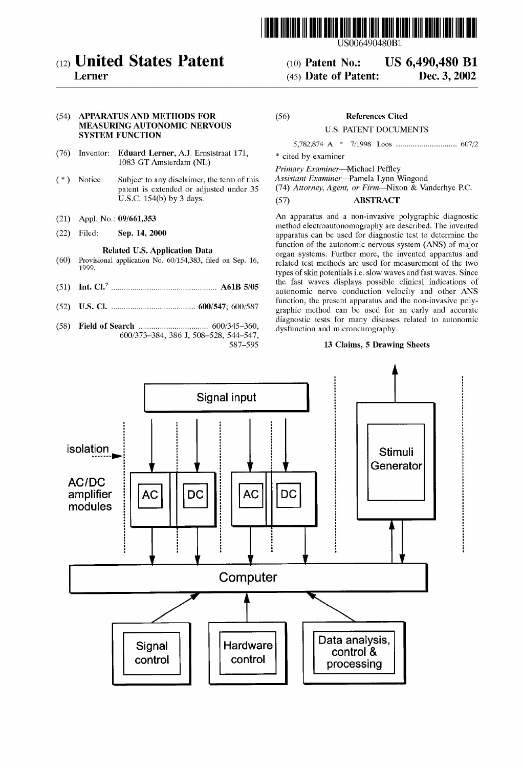

# (12) United States Patent

## Lerner

#### (54) APPARATUS AND METHODS FOR MEASURING AUTONOMIC NERVOUS SYSTEM FUNCTION

- (76) Inventor: Eduard Lerner, A.J. Ernststraat 171, 1083 GT Amsterdam (NL)
- (\*) Notice: Subject to any disclaimer, the term of this patent is extended or adjusted under 35 U.S.C. 154(b) by 3 days.
- (21) Appl. No.:  $0.9/001,353$
- (22) Filed: Sep. 14, 2000

#### Related U.S. Application Data

- (60) Provisional application No. 60/154.383, filed on Sep. 16, 1999.
- (51) Int. Cl................................................... A61B 5/05
- (52) U.S. Cl. ........................................ 600/547; 600/587
- (58) Field of Search ................................. 600/345-360, 600/373-384, 386 J, 508-528, 544–547, 587-595

#### References Cited (56)

#### U.S. PATENT DOCUMENTS

5,782,874 A \* 7/1998 Loos ............................. 607/2

(10) Patent No.: US 6,490,480 B1<br>(45) Date of Patent: Dec. 3, 2002

\* cited by examiner

 $(45)$  Date of Patent:

Primary Examiner-Michael Peffley<br>Assistant Examiner-Pamela Lynn Wingood

(74) Attorney, Agent, or Firm-Nixon & Vanderhye P.C.

### (57) ABSTRACT

An apparatus and a non-invasive polygraphic diagnostic method electroautonomography are described. The invented apparatus can be used for diagnostic test to determine the function of the autonomic nervous system (ANS) of major organ Systems. Further more, the invented apparatus and related test methods are used for measurement of the two types of skin potentials i.e. slow waves and fast waves. Since the fast waves displays possible clinical indications of autonomic nerve conduction velocity and other ANS function, the present apparatus and the non-invasive poly graphic method can be used for an early and accurate diagnostic tests for many diseases related to autonomic dysfunction and microneurography.

#### 13 Claims, 5 Drawing Sheets

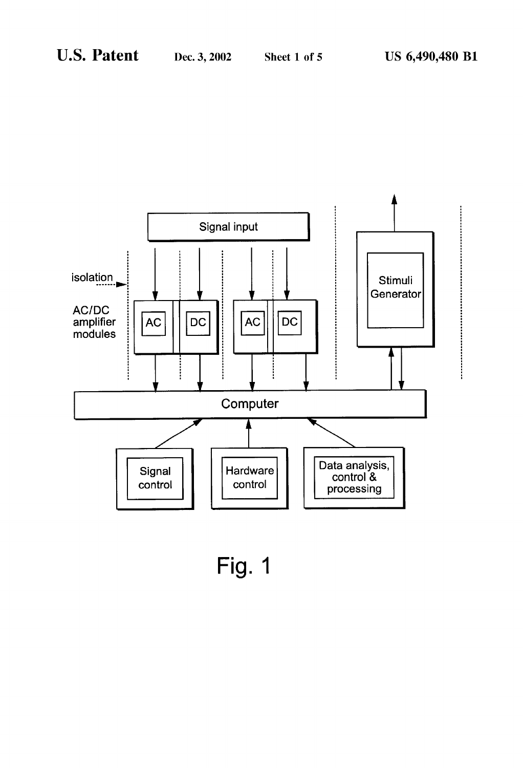

Fig. 1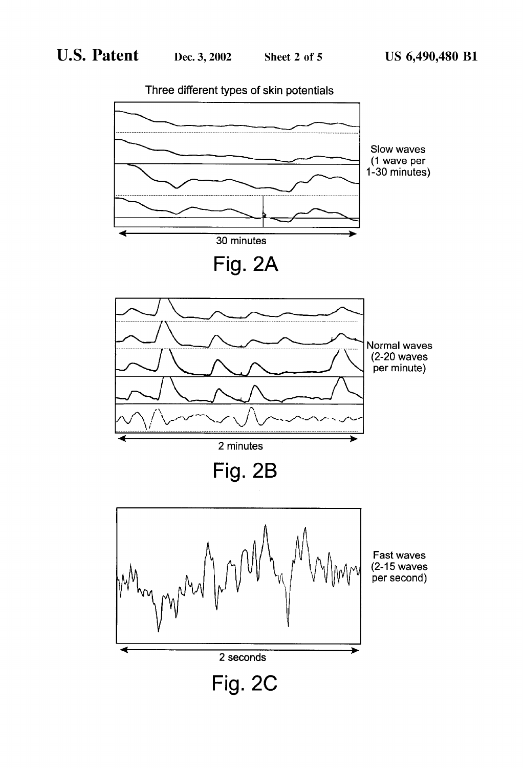

Three different types of skin potentials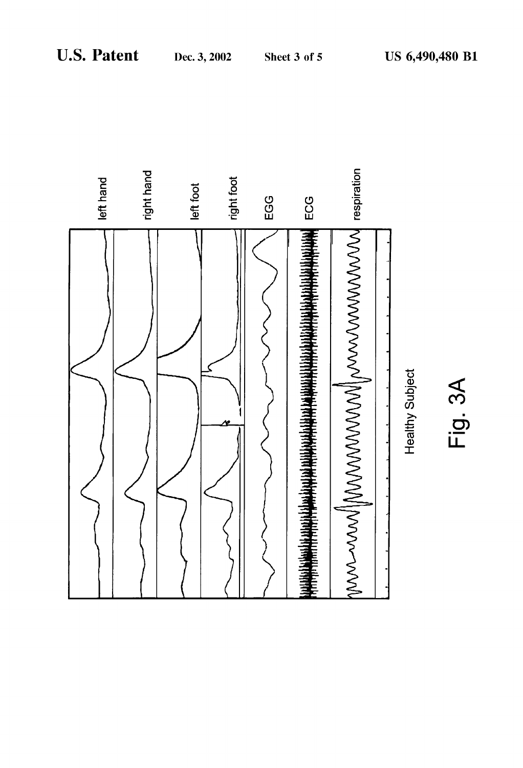

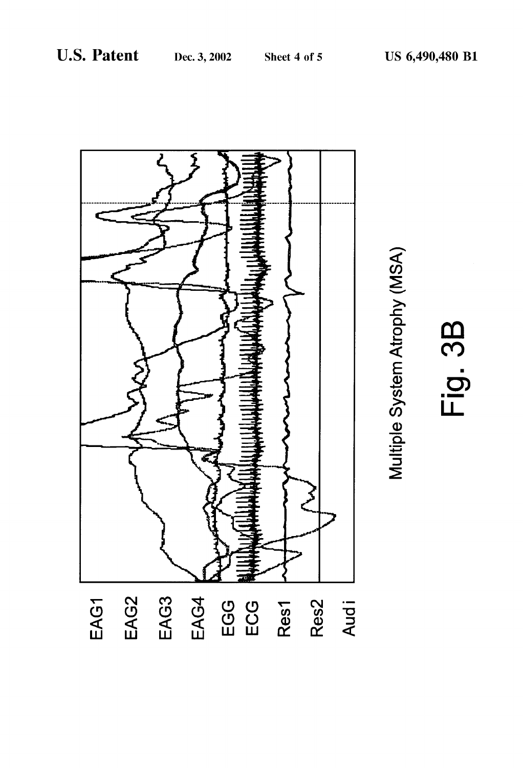Sheet 4 of 5





Fig. 3B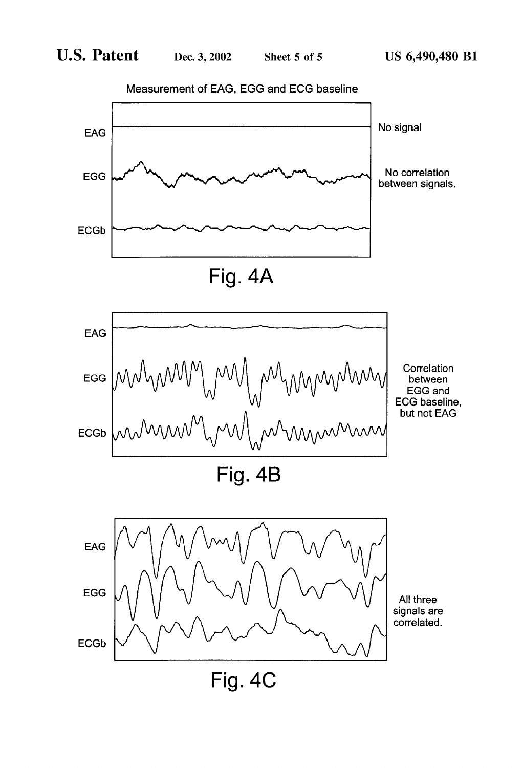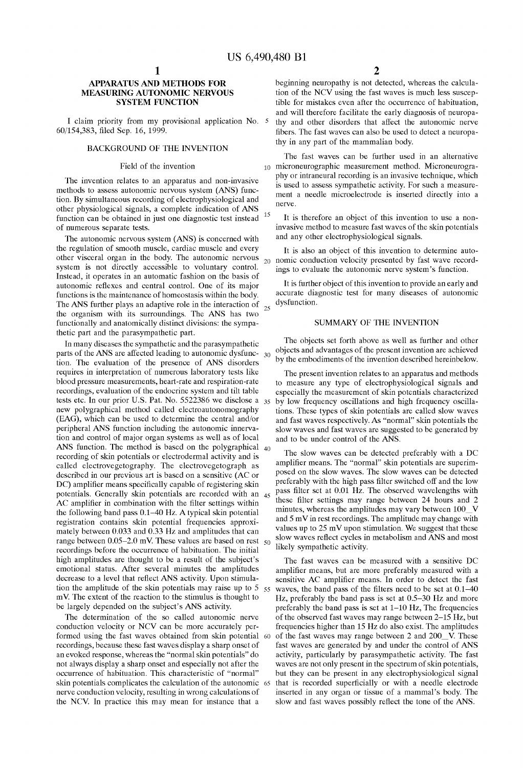#### APPARATUS AND METHODS FOR MEASURING AUTONOMIC NERVOUS SYSTEM FUNCTION

I claim priority from my provisional application No. 5 60/154,383, filed Sep. 16, 1999.

#### BACKGROUND OF THE INVENTION

#### Field of the invention

The invention relates to an apparatus and non-invasive methods to assess autonomic nervous system (ANS) func tion. By Simultaneous recording of electrophysiological and other physiological signals, a complete indication of ANS function can be obtained in just one diagnostic test instead <sup>15</sup> of numerous separate tests.

The autonomic nervous system (ANS) is concerned with the regulation of Smooth muscle, cardiac muscle and every system is not directly accessible to voluntary control. Instead, it operates in an automatic fashion on the basis of autonomic reflexes and central control. One of its major functions is the maintenance of homeostasis within the body. The ANS further plays an adaptive role in the interaction of  $_{25}$ the organism with its surroundings. The ANS has two functionally and anatomically distinct divisions: the sympathetic part and the parasympathetic part.

In many diseases the Sympathetic and the parasympathetic parts of the ANS are affected leading to autonomic dysfunc- 30 tion. The evaluation of the presence of ANS disorders requires in interpretation of numerous laboratory tests like blood pressure measurements, heart-rate and respiration-rate recordings, evaluation of the endocrine System and tilt table tests etc. In our prior U.S. Pat. No.  $5522386$  we disclose a  $35$ new polygraphical method called electroautonomography (EAG), which can be used to determine the central and/or peripheral ANS function including the autonomic innerva tion and control of major organ Systems as well as of local recording of skin potentials or electrodermal activity and is called electrovegetography. The electrovegetograph as described in our previous art is based on a sensitive (AC or DC) amplifier means specifically capable of registering skin potentials. Generally skin potentials are recorded with an 45 AC amplifier in combination with the filter settings within the following band pass  $0.1-40$  Hz. A typical skin potential registration contains skin potential frequencies approximately between 0.033 and 0.33 Hz and amplitudes that can range between  $0.05-2.0$  m v. These values are based on rest  $50$ recordings before the occurrence of habituation. The initial high amplitudes are thought to be a result of the subject's emotional status. After several minutes the amplitudes decrease to a level that reflect ANS activity. Upon stimula tion the amplitude of the skin potentials may raise up to  $5\frac{55}{10}$ mV. The extent of the reaction to the stimulus is thought to be largely depended on the subject's ANS activity. ANS function. The method is based on the polygraphical  $_{40}$ 

The determination of the so called autonomic nerve conduction velocity or NCV can be more accurately per recordings, because these fast waves display a sharp onset of an evoked response, whereas the "normal skin potentials" do not always display a sharp onset and especially not after the occurrence of habituation. This characteristic of "normal" skin potentials complicates the calculation of the autonomic 65 nerve conduction Velocity, resulting in wrong calculations of the NCV. In practice this may mean for instance that a formed using the fast waves obtained from skin potential 60

2

beginning neuropathy is not detected, whereas the calcula tion of the NCV using the fast waves is much less suscep tible for mistakes even after the occurrence of habituation, and will therefore facilitate the early diagnosis of neuropa thy and other disorders that affect the autonomic nerve fibers. The fast waves can also be used to detect a neuropa thy in any part of the mammalian body.

The fast waves can be further used in an alternative 10 microneurographic measurement method. Microneurography or intraneural recording is an invasive technique, which is used to assess Sympathetic activity. For Such a measure ment a needle microelectrode is inserted directly into a nerve.

It is therefore an object of this invention to use a non-<br>invasive method to measure fast waves of the skin potentials and any other electrophysiological signals.

other visceral organ in the body. The autonomic nervous  $\frac{1}{20}$  nomic conduction velocity presented by fast wave recordnomic conduction Velocity presented by fast wave record ings to evaluate the autonomic nerve System's function.

> It is further object of this invention to provide an early and accurate diagnostic test for many diseases of autonomic dysfunction.

#### SUMMARY OF THE INVENTION

The objects set forth above as well as further and other objects and advantages of the present invention are achieved by the embodiments of the invention described hereinbelow.

The present invention relates to an apparatus and methods to measure any type of electrophysiological signals and especially the measurement of skin potentials characterized especially the measurement of Skin potentials characterized by low frequency oscillations and high frequency oscilla tions. These types of skin potentials are called slow waves and fast waves respectively. AS "normal' skin potentials the slow waves and fast waves are suggested to be generated by and to be under control of the ANS.

The slow waves can be detected preferably with a DC amplifier means. The "normal" skin potentials are superimposed on the slow waves. The slow waves can be detected preferably with the high pass filter switched off and the low pass filter set at 0.01 Hz. The observed wavelengths with these filter settings may range between 24 hours and 2 minutes, whereas the amplitudes may vary between  $100$  V and 5 mV in rest recordings. The amplitude may change with values up to  $25 \text{ mV}$  upon stimulation. We suggest that these slow waves reflect cycles in metabolism and ANS and most likely Sympathetic activity.

The fast waves can be measured with a sensitive DC amplifier means, but are more preferably measured with a sensitive AC amplifier means. In order to detect the fast waves, the band pass of the filters need to be set at 0.1-40 Hz, preferably the band pass is set at 0.5-30 Hz and more preferably the band pass is set at  $1-10$  Hz, The frequencies of the observed fast waves may range between 2-15 Hz, but frequencies higher than 15 Hz do also exist. The amplitudes of the fast waves may range between 2 and 200\_V. These fast waves are generated by and under the control of ANS activity, particularly by parasympathetic activity. The fast but they can be present in any electrophysiological signal that is recorded Superficially or with a needle electrode inserted in any organ or tissue of a mammal's body. The slow and fast waves possibly reflect the tone of the ANS.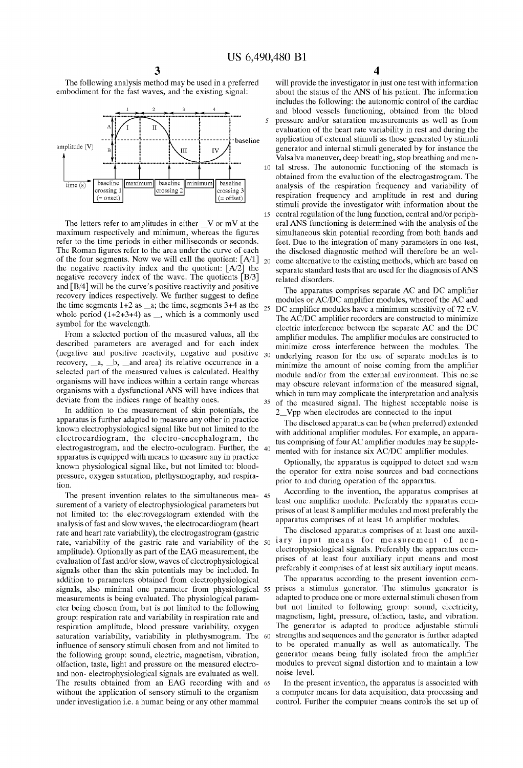15

35

The following analysis method may be used in a preferred embodiment for the fast waves, and the existing signal:



The letters refer to amplitudes in either  $V$  or mV at the maximum respectively and minimum, whereas the figures refer to the time periods in either milliseconds or seconds. The Roman figures refer to the area under the curve of each of the four segments. Now we will call the quotient:  $[A/1]_{20}$ the negative reactivity index and the quotient:  $[A/2]$  the negative recovery index of the wave. The quotients  $[B/3]$ and  $[B/4]$  will be the curve's positive reactivity and positive recovery indices respectively. We further suggest to define the time segments  $1+2$  as  $\alpha$ , the time, segments  $3+4$  as the whole period  $(1+2+3+4)$  as  $\overline{\phantom{a}}$ , which is a commonly used symbol for the wavelength. 25

From a selected portion of the measured values, all the described parameters are averaged and for each index (negative and positive reactivity, negative and positive recovery,  $a$ ,  $b$ , and area) its relative occurrence in a selected part of the measured values is calculated. Healthy organisms will have indices within a certain range whereas organisms with a dysfunctional ANS will have indices that deviate from the indices range of healthy ones.

In addition to the measurement of Skin potentials, the apparatus is further adapted to measure any other in practice known electrophysiological Signal like but not limited to the electrocardiogram, the electro-encephalogram, the electrogastrogram, and the electro-oculogram. Further, the 40 apparatus is equipped with means to measure any in practice known physiological Signal like, but not limited to: blood pressure, oxygen saturation, plethysmography, and respiration.

The present invention relates to the simultaneous mea- 45 surement of a variety of electrophysiological parameters but not limited to: the electrovegetogram extended with the analysis of fast and slow waves, the electrocardiogram (heart rate and heart rate variability), the electrogastrogram (gastric rate and heart rate variability), the electrogastrogram (gastric amplitude). Optionally as part of the EAG measurement, the evaluation of fast and/or slow, waves of electrophysiological signals other than the skin potentials may be included. In addition to parameters obtained from electrophysiological addition to parameters obtained from electrophysiological<br>signals, also minimal one parameter from physiological 55 measurements is being evaluated. The physiological param eter being chosen from, but is not limited to the following group: respiration rate and variability in respiration rate and respiration amplitude, blood pressure variability, oxygen saturation variability, variability in plethysmogram. The influence of Sensory Stimuli chosen from and not limited to the following group: Sound, electric, magnetism, vibration, olfaction, taste, light and pressure on the measured electro and non-electrophysiological signals are evaluated as well. The results obtained from an EAG recording with and 65 without the application of sensory stimuli to the organism under investigation i.e. a human being or any other mammal 60

4

will provide the investigator in just one test with information about the status of the ANS of his patient. The information includes the following: the autonomic control of the cardiac and blood vessels functioning, obtained from the blood pressure and/or saturation measurements as well as from evaluation of the heart rate variability in rest and during the application of external stimuli as those generated by stimuli generator and internal Stimuli generated by for instance the Valsalva maneuver, deep breathing, Stop breathing and men to tal stress. The autonomic functioning of the stomach is obtained from the evaluation of the electrogastrogram. The analysis of the respiration frequency and variability of respiration frequency and amplitude in rest and during stimuli provide the investigator with information about the central regulation of the lung function, central and/or periph eral ANS functioning is determined with the analysis of the simultaneous skin potential recording from both hands and feet. Due to the integration of many parameters in one test, the disclosed diagnostic method will therefore be an well come alternative to the existing methods, which are based on separate standard tests that are used for the diagnosis of ANS related disorders.

The apparatus comprises separate AC and DC amplifier modules or AC/DC amplifier modules, whereof the AC and DC amplifier modules have a minimum sensitivity of 72 nV. The AC/DC amplifier recorders are constructed to minimize electric interference between the separate AC and the DC amplifier modules. The amplifier modules are constructed to minimize cross interference between the modules. The underlying reason for the use of Separate modules is to minimize the amount of noise coming from the amplifier module and/or from the external environment. This noise may obscure relevant information of the measured signal, which in turn may complicate the interpretation and analysis of the measured Signal. The highest acceptable noise is 2<sup>1</sup>/2 Vpp when electrodes are connected to the input

The disclosed apparatus can be (when preferred) extended with additional amplifier modules. For example, an appara tus comprising of four AC amplifier modules may be supplemented with for instance six AC/DC amplifier modules.

Optionally, the apparatus is equipped to detect and warn the operator for extra noise Sources and bad connections prior to and during operation of the apparatus.

According to the invention, the apparatus comprises at least one amplifier module. Preferably the apparatus com prises of at least 8 amplifier modules and most preferably the apparatus comprises of at least 16 amplifier modules.

rate, variability of the gastric rate and variability of the  $50$  iary input means for measurement of non-The disclosed apparatus comprises of at least one auxil electrophysiological Signals. Preferably the apparatus com prises of at least four auxiliary input means and most preferably it comprises of at least six auxiliary input means.

The apparatus according to the present invention com prises a Stimulus generator. The Stimulus generator is adapted to produce one or more external stimuli chosen from<br>but not limited to following group: sound, electricity, magnetism, light, pressure, olfaction, taste, and vibration. The generator is adapted to produce adjustable stimuli strengths and sequences and the generator is further adapted to be operated manually as well as automatically. The generator means being fully isolated from the amplifier modules to prevent signal distortion and to maintain a low noise level.

In the present invention, the apparatus is associated with a computer means for data acquisition, data processing and control. Further the computer means controls the set up of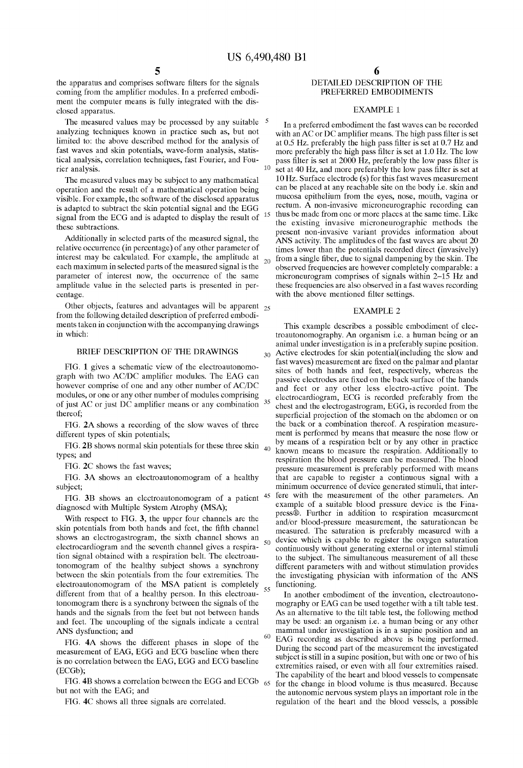15

60

the apparatus and comprises software filters for the signals coming from the amplifier modules. In a preferred embodiment the computer means is fully integrated with the dis closed apparatus.

The measured values may be processed by any suitable  $5$ analyzing techniques known in practice Such as, but not limited to: the above described method for the analysis of fast waves and skin potentials, wave-form analysis, statistical analysis, correlation techniques, fast Fourier, and Fourier, and Fourier, and Fourier, and Fourier. rier analysis.

The measured values may be Subject to any mathematical operation and the result of a mathematical operation being Visible. For example, the Software of the disclosed apparatus is adapted to Subtract the Skin potential Signal and the EGG signal from the ECG and is adapted to display the result of these Subtractions.

Additionally in selected parts of the measured signal, the relative occurrence (in percentage) of any other parameter of interest may be calculated. For example, the amplitude at  $_{20}$ each maximum in selected parts of the measured signal is the parameter of interest now, the occurrence of the same amplitude value in the Selected parts is presented in per centage.

Other objects, features and advantages will be apparent  $_{25}$ from the following detailed description of preferred embodi ments taken in conjunction with the accompanying drawings in which:

#### BRIEF DESCRIPTION OF THE DRAWINGS

FIG. 1 gives a Schematic view of the electroautonomo graph with two AC/DC amplifier modules. The EAG can however comprise of one and any other number of AC/DC modules, or one or any other number of modules comprising of just AC or just DC amplifier means or any combination thereof;

FIG. 2A shows a recording of the slow waves of three different types of skin potentials,

FIG. 2B shows normal skin potentials for these three skin  $_{40}$ types, and

FIG. 2C shows the fast waves;

FIG. 3A shows an electroautonomogram of a healthy subject;

With respect to FIG. 3, the upper four channels are the skin potentials from both hands and feet, the fifth channel shows an electrogastrogram, the sixth channel shows an electrocardiogram and the seventh channel gives a respiration signal obtained with a respiration belt. The electroautonomogram of the healthy subject shows a synchrony between the skin potentials from the four extremities. The electroautonomogram of the MSA patient is completely different from that of a healthy person. In this electroau tonomogram there is a synchrony between the signals of the hands and the signals from the feet but not between hands and feet. The uncoupling of the Signals indicate a central ANS dysfunction; and 55

FIG. 4A shows the different phases in slope of the measurement of EAG, EGG and ECG baseline when there is no correlation between the EAG, EGG and ECG baseline (ECGb);

but not with the EAG, and

FIG. 4C shows all three signals are correlated.

#### DETAILED DESCRIPTION OF THE PREFERRED EMBODIMENTS

#### EXAMPLE 1.

In a preferred embodiment the fast waves can be recorded with an AC or DC amplifier means. The high pass filter is set at 0.5 HZ. preferably the high pass filter is set at 0.7 Hz and more preferably the high pass filter is set at 1.0 Hz. The low pass filter is set at 2000 Hz, preferably the low pass filter is set at 40 Hz, and more preferably the low pass filter is set at 10 Hz. Surface electrode (s) for this fast waves measurement can be placed at any reachable Site on the body i.e. Skin and mucosa epithelium from the eyes, nose, mouth, vagina or rectum. A non-invasive microneurographic recording can thus be made from one or more places at the same time. Like the existing invasive microneurographic methods the present non-invasive variant provides information about ANS activity. The amplitudes of the fast waves are about 20 times lower than the potentials recorded direct (invasively) from a single fiber, due to signal dampening by the skin. The observed frequencies are however completely comparable: a microneurogram comprises of signals within 2-15 Hz and these frequencies are also observed in a fast waves recording with the above mentioned filter settings.

#### EXAMPLE 2

This example describes a possible embodiment of elec troautonomography. An organism i.e. a human being or an animal under investigation is in a preferably supine position. Active electrodes for skin potential (including the slow and fast waves) measurement are fixed on the palmar and plantar  $30$ sites of both hands and feet, respectively, whereas the passive electrodes are fixed on the back Surface of the hands and feet or any other less electro-active point. The electrocardiogram, ECG is recorded preferably from the 35 chest and the electrogastrogram, EGG, is recorded from the superficial projection of the stomach on the abdomen or on the back or a combination thereof. A respiration measure ment is performed by means that measure the nose flow or by means of a respiration belt or by any other in practice known means to measure the respiration. Additionally to respiration the blood pressure can be measured. The blood preSSure measurement is preferably performed with means that are capable to register a continuous signal with a minimum occurrence of device generated Stimuli, that inter FIG. 3B shows an electroautonomogram of a patient <sup>45</sup> fere with the measurement of the other parameters. An example of a suitable blood pressure device is the Fina-<br>diagnosed with Multiple System Atrophy (MSA);<br>magnetic i example of a suitable blood pressure device is the Finapress®. Further in addition to respiration measurement and/or blood-pressure measurement, the Saturationcan be measured. The Saturation is preferably measured with a device which is capable to register the oxygen Saturation 50 continuously without generating external or internal Stimuli to the subject. The simultaneous measurement of all these different parameters with and without stimulation provides the investigating physician with information of the ANS functioning.

(ECGb),<br>FIG. 4B shows a correlation between the EGG and ECGb 65 for the change in blood volume is thus measured. Because In another embodiment of the invention, electroautono mography or EAG can be used together with a tilt table test. As an alternative to the tilt table test, the following method may be used: an organism i.e. a human being or any other mammal under investigation is in a supine position and an EAG recording as described above is being performed. During the second part of the measurement the investigated subject is still in a supine position, but with one or two of his extremities raised, or even with all four extremities raised.<br>The capability of the heart and blood vessels to compensate for the change in blood Volume is thus measured. Because the autonomic nervous System plays an important role in the regulation of the heart and the blood vessels, a possible